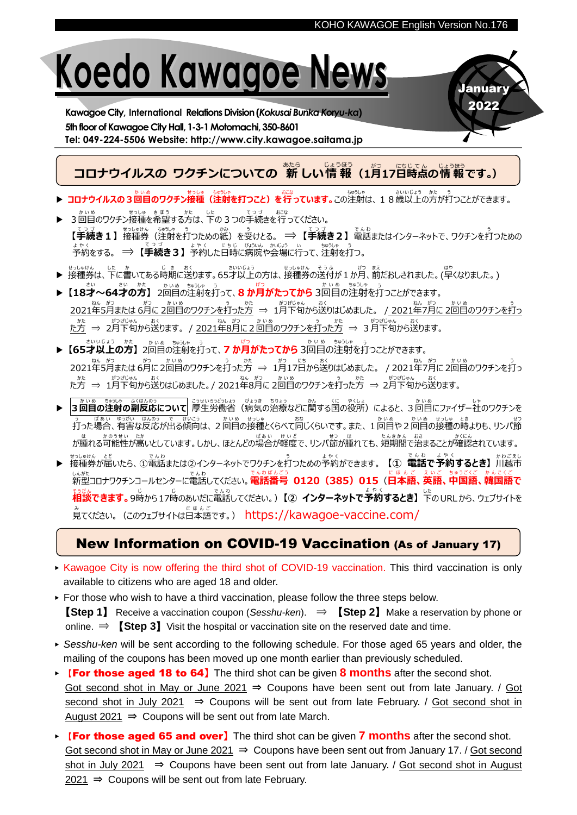January 2022

## **Koedo Kawagoe News**

**Kawagoe City, International Relations Division(***Kokusai Bunka Koryu-ka***)** 5th floor of Kawagoe City Hall, 1-3-1 Motomachi, 350-8601 **Tel: 049-224-5506 Website: http://www.city.kawagoe.saitama.jp**

**コロナウイルスの ワクチンについての 新** あたら **しい情 報** じょうほう **(1月** がつ **17日** にち **時点** じてん **の情 報** じょうほう **です。)**

- <u>▶ コロナウイルスの 3 回目のワクチン接種(注射を打つこと)を行っています。この注射は、18歳以上の方が打つことができます。</u>
- まいめ まいゆ きぼう かた した てっづ おこな<br>■ 3回目のワクチン接種を希望する方は、下の 3 つの手続きを行ってください。 てっ*う*<br>【**手続き1】** 接種券(注射を打つための紙)を受けとる。 ⇒ 【**手続き2**】 電話またはインターネットで、ワクチンを打つための 予約 よ や く をする。 ⇒ **【手続** てつづ **き3】** 予約 よ や く した日時 にちじ に病院 びょういん や会場 かいじょう に行 い って、注射 ちゅうしゃ を打 う つ。
- → せっしゅけん した ゕ し ょ おく c さいいよう さいいじょう せっしゅけん そうふ いりつ まぇ (キャ)しされました。(早くなりました。)
- ▶ 【18才~64才の方】 2回目の注射を打って、8 か月がたってから 3回目の注射を打っことができます。 2021年5月または 6月に 2回目のワクチンを打った方 ⇒ 1月下旬から送りはじめました。 / 2021年7月に 2回目のワクチンを打っ た方 かた ⇒ 2月 がつ 下旬 げ じ ゅ ん から送 お く ります。 / 2021年 ねん 8月 がつ に2回目 かいめ のワクチンを打 う った方 かた ⇒ 3月 がつ 下旬 げ じ ゅ ん から送 お く ります。
- ▶ 【65才以上の方】2回目の注射を打って、7 か月がたってから 3回目の注射を打つことができます。 2021年 ねん 5月 がつ または 6月 がつ に 2回目 かいめ のワクチンを打 う った方 かた ⇒ 1月 がつ 17日 にち から送 お く りはじめました。 / 2021年 ねん 7月 がつ に 2回目 かいめ のワクチンを打 う っ た方 かた ⇒ 1月 がつ 下旬 げ じ ゅ ん から送 お く りはじめました。/ 2021年 ねん 8月 がつ に 2回目 かいめ のワクチンを打 う った方 かた ⇒ 2月 がつ 下旬 げ じ ゅ ん から送 お く ります。
- ▶ **3回目** かいめ **の注射** ちゅうしゃ **の副反応** ふ く は ん の う **について** 厚生 こ う せ い 労働省 ろうどうしょう (病気 び ょ う き の治療 ち り ょ う などに関 かん する国 く に の役所 や く し ょ )によると、3回目 かいめ にファイザー社 し ゃ のワクチンを 打 う った場合 ば あ い 、有害 ゆうがい な反応 はんのう が出 で る傾向 け い こ う は、2回目 かいめ の接種 せ っ し ゅ とくらべて同 おな じくらいです。また、1回目 かいめ や2回目 かいめ の接種 せ っ し ゅ の時 と き よりも、リンパ節 せつ が腫 は れる可能性 か の う せ い が高 たか いとしています。しかし、ほとんどの場合 ば あ い が軽度 けいど で、リンパ節 せつ が腫 は れても、短期間 た ん き か ん で治 おさ まることが確認 か く に ん されています。
- → <sub>せっしゅけん とど<br>★ 接種券が届いたら、①電話または②インターネットでワクチンを打つための予約ができます。 【① **電話で予約するとき】**川越市</sub> しんがた<br>新型コロナワクチンコールセンターに電話してください。**電話番号 0120(385)015(日本語、英語、中国語、韓国語で** <sub>もまな</sub><br>**相談できます。**9時から17時のあいだに電話してください。)【② **インターネットで 予約するとき】** 下のURLから、ウェブサイトを 。<br>見てください。(このウェブサイトは日本語です。) <https://kawagoe-vaccine.com/>

## New Information on COVID-19 Vaccination (As of January 17)

- ▶ Kawagoe City is now offering the third shot of COVID-19 vaccination. This third vaccination is only available to citizens who are aged 18 and older.
- ▶ For those who wish to have a third vaccination, please follow the three steps below.
- 【**Step 1**】 Receive a vaccination coupon (*Sesshu-ken*). ⇒ 【**Step 2**】Make a reservation by phone or online.  $\Rightarrow$  **[Step 3]** Visit the hospital or vaccination site on the reserved date and time.
- ▶ *Sesshu-ken* will be sent according to the following schedule. For those aged 65 years and older, the mailing of the coupons has been moved up one month earlier than previously scheduled.
- ▶ 【For those aged 18 to 64】The third shot can be given **8 months** after the second shot. Got second shot in May or June  $2021 \Rightarrow$  Coupons have been sent out from late January. / Got second shot in July 2021  $\Rightarrow$  Coupons will be sent out from late February. / Got second shot in August  $2021$  ⇒ Coupons will be sent out from late March.
- ▶ 【For those aged 65 and over】The third shot can be given **7 months** after the second shot. Got second shot in May or June 2021  $\Rightarrow$  Coupons have been sent out from January 17. / Got second shot in July 2021  $\Rightarrow$  Coupons have been sent out from late January. / Got second shot in August 2021  $\Rightarrow$  Coupons will be sent out from late February.